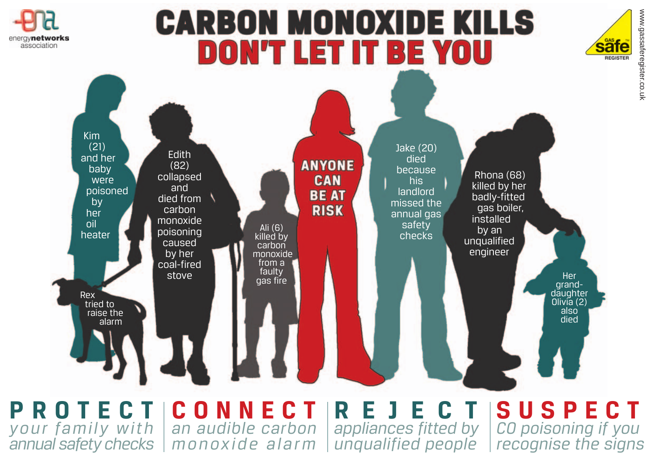

# **CARBON MONOXIDE KILLS DON'T LET IT BE YOU**





**PROTECT CONNECT** *your family with an audible carbon annual safety checks monoxide alarm*

**REJECT** *appliances fitted by*

*unqualified people recognise the signs* **SUSPECT** *CO poisoning if you*